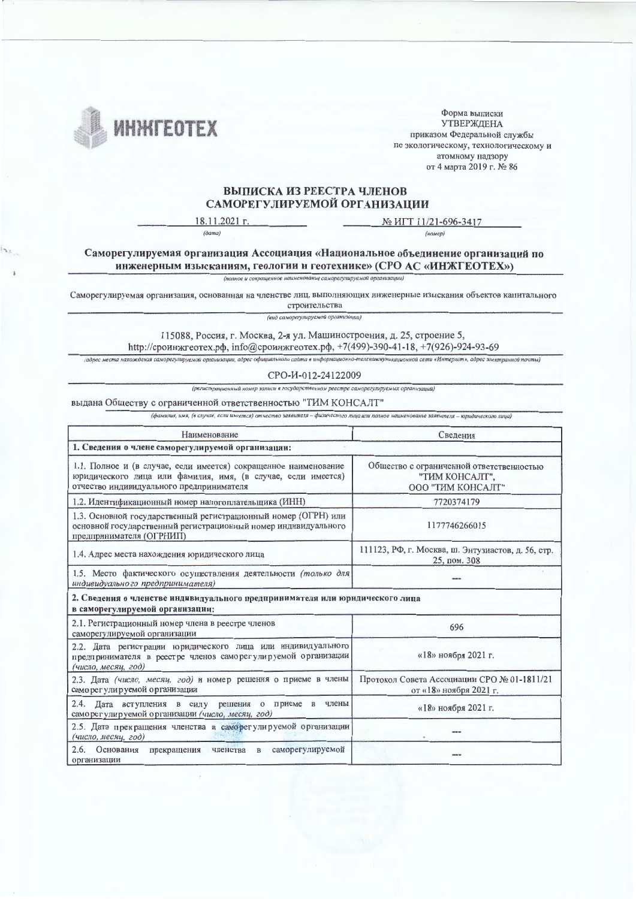

Форма выписки **УТВЕРЖДЕНА** приказом Федеральной службы по экологическому, технологическому и атомному надзору от 4 марта 2019 г. № 86

## ВЫПИСКА ИЗ РЕЕСТРА ЧЛЕНОВ САМОРЕГУЛИРУЕМОЙ ОРГАНИЗАЦИИ

18.11.2021 г.  $(\partial a ma)$ 

№ ИГТ 11/21-696-3417 (номер)

Саморегулируемая организация Ассоциация «Национальное объединение организаций по инженерным изысканиям, геологии и геотехнике» (СРО АС «ИНЖГЕОТЕХ»)

(полное и сокращенное наименование саморегулируемой организации)

Саморегулируемая организация, основанная на членстве лиц, выполняющих инженерные изыскания объектов капитального

строительства (вид саморегулируемой организации)

115088, Россия, г. Москва, 2-я ул. Машиностроения, д. 25, строение 5, http://сроинжгеотех.pф, info@сроинжгеотех.pф, +7(499)-390-41-18, +7(926)-924-93-69

(адрес места нахождения саморегулируемой организации, адрес официального сайта в информационно-телекоммуникационной сети «Интернет», адрес электранной почты)

CPO-H-012-24122009

(регистрационный номер записи в государственном реестре саморегулируемых организаций)

## выдана Обществу с ограниченной ответственностью "ТИМ КОНСАЛТ"

 $\overline{\phantom{a}}$ 

(фамилия, имя, (в случае, если имеется) отчество заявителя - физического лица или полное наименование заявителя - юридического лица)

| Наименование                                                                                                                                                                | Сведения                                                                        |  |  |  |  |  |
|-----------------------------------------------------------------------------------------------------------------------------------------------------------------------------|---------------------------------------------------------------------------------|--|--|--|--|--|
| 1. Сведения о члене саморегулируемой организации:                                                                                                                           |                                                                                 |  |  |  |  |  |
| 1.1. Полное и (в случае, если имеется) сокращенное наименование<br>юридического лица или фамилия, имя, (в случае, если имеется)<br>отчество индивидуального предпринимателя | Общество с ограниченной ответственностью<br>"ТИМ КОНСАЛТ",<br>ООО "ТИМ КОНСАЛТ" |  |  |  |  |  |
| 1.2. Идентификационный номер налогоплательщика (ИНН)                                                                                                                        | 7720374179                                                                      |  |  |  |  |  |
| 1.3. Основной государственный регистрационный номер (ОГРН) или<br>основной государственный регистрационный номер индивидуального<br>предпринимателя (ОГРНИП)                | 1177746266015                                                                   |  |  |  |  |  |
| 1.4. Адрес места нахождения юридического лица                                                                                                                               | 111123, РФ, г. Москва, ш. Энтузиастов, д. 56, стр.<br>25, пом. 308              |  |  |  |  |  |
| 1.5. Место фактического осуществления деятельности (только для<br>индивидуально го предпринимателя)                                                                         |                                                                                 |  |  |  |  |  |
| 2. Сведения о членстве индивидуального предпринимателя или юридического лица<br>в саморегулируемой организации:                                                             |                                                                                 |  |  |  |  |  |
| 2.1. Регистрационный номер члена в реестре членов<br>саморегулируемой организации                                                                                           | 696                                                                             |  |  |  |  |  |
| 2.2. Дата регистрации юридического лица или индивидуального<br>предпринимателя в реестре членов саморегулируемой организации<br>(число, месяц, год)                         | «18» ноября 2021 г.                                                             |  |  |  |  |  |
| 2.3. Дата (число, месяц, год) и номер решения о приеме в члены<br>саморегулируемой организации                                                                              | Протокол Совета Ассоциации СРО № 01-1811/21<br>от «18» ноября 2021 г.           |  |  |  |  |  |
| 2.4. Дата вступления в силу решения о приеме в члены<br>саморегулируемой организации (число, месяц, год)                                                                    | «18» ноября 2021 г.                                                             |  |  |  |  |  |
| 2.5. Дата прекращения членства в саморегулируемой организации<br>(число, месяц, год)                                                                                        | ---                                                                             |  |  |  |  |  |
| 2.6.<br>Основания<br>саморегулируемой<br>прекращения<br>членства в<br>организации                                                                                           |                                                                                 |  |  |  |  |  |